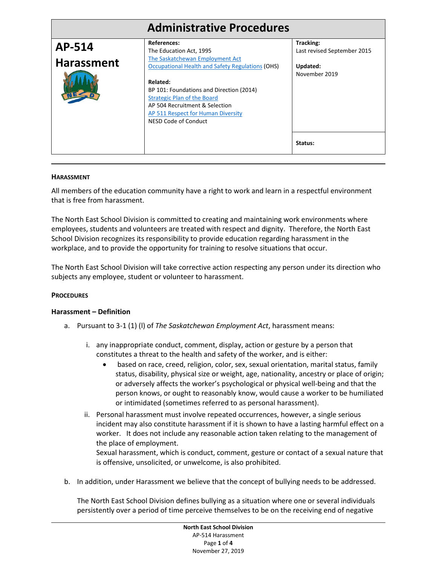|                   | <b>Administrative Procedures</b>                                                                                                                                                           |                                          |
|-------------------|--------------------------------------------------------------------------------------------------------------------------------------------------------------------------------------------|------------------------------------------|
| AP-514            | References:<br>The Education Act, 1995                                                                                                                                                     | Tracking:<br>Last revised September 2015 |
| <b>Harassment</b> | The Saskatchewan Employment Act<br><b>Occupational Health and Safety Regulations (OHS)</b>                                                                                                 | Updated:<br>November 2019                |
|                   | Related:<br>BP 101: Foundations and Direction (2014)<br><b>Strategic Plan of the Board</b><br>AP 504 Recruitment & Selection<br>AP 511 Respect for Human Diversity<br>NESD Code of Conduct |                                          |
|                   |                                                                                                                                                                                            | Status:                                  |

### **HARASSMENT**

All members of the education community have a right to work and learn in a respectful environment that is free from harassment.

The North East School Division is committed to creating and maintaining work environments where employees, students and volunteers are treated with respect and dignity. Therefore, the North East School Division recognizes its responsibility to provide education regarding harassment in the workplace, and to provide the opportunity for training to resolve situations that occur.

The North East School Division will take corrective action respecting any person under its direction who subjects any employee, student or volunteer to harassment.

### **PROCEDURES**

### **Harassment – Definition**

- a. Pursuant to 3-1 (1) (l) of *The Saskatchewan Employment Act*, harassment means:
	- i. any inappropriate conduct, comment, display, action or gesture by a person that constitutes a threat to the health and safety of the worker, and is either:
		- based on race, creed, religion, color, sex, sexual orientation, marital status, family status, disability, physical size or weight, age, nationality, ancestry or place of origin; or adversely affects the worker's psychological or physical well-being and that the person knows, or ought to reasonably know, would cause a worker to be humiliated or intimidated (sometimes referred to as personal harassment).
	- ii. Personal harassment must involve repeated occurrences, however, a single serious incident may also constitute harassment if it is shown to have a lasting harmful effect on a worker. It does not include any reasonable action taken relating to the management of the place of employment.

Sexual harassment, which is conduct, comment, gesture or contact of a sexual nature that is offensive, unsolicited, or unwelcome, is also prohibited.

b. In addition, under Harassment we believe that the concept of bullying needs to be addressed.

The North East School Division defines bullying as a situation where one or several individuals persistently over a period of time perceive themselves to be on the receiving end of negative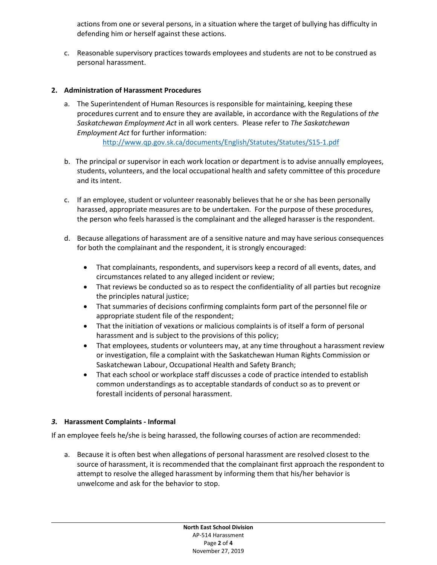actions from one or several persons, in a situation where the target of bullying has difficulty in defending him or herself against these actions.

c. Reasonable supervisory practices towards employees and students are not to be construed as personal harassment.

## **2. Administration of Harassment Procedures**

a. The Superintendent of Human Resources is responsible for maintaining, keeping these procedures current and to ensure they are available, in accordance with the Regulations of *the Saskatchewan Employment Act* in all work centers. Please refer to *The Saskatchewan Employment Act* for further information:

<http://www.qp.gov.sk.ca/documents/English/Statutes/Statutes/S15-1.pdf>

- b. The principal or supervisor in each work location or department is to advise annually employees, students, volunteers, and the local occupational health and safety committee of this procedure and its intent.
- c. If an employee, student or volunteer reasonably believes that he or she has been personally harassed, appropriate measures are to be undertaken. For the purpose of these procedures, the person who feels harassed is the complainant and the alleged harasser is the respondent.
- d. Because allegations of harassment are of a sensitive nature and may have serious consequences for both the complainant and the respondent, it is strongly encouraged:
	- That complainants, respondents, and supervisors keep a record of all events, dates, and circumstances related to any alleged incident or review;
	- That reviews be conducted so as to respect the confidentiality of all parties but recognize the principles natural justice;
	- That summaries of decisions confirming complaints form part of the personnel file or appropriate student file of the respondent;
	- That the initiation of vexations or malicious complaints is of itself a form of personal harassment and is subject to the provisions of this policy;
	- That employees, students or volunteers may, at any time throughout a harassment review or investigation, file a complaint with the Saskatchewan Human Rights Commission or Saskatchewan Labour, Occupational Health and Safety Branch;
	- That each school or workplace staff discusses a code of practice intended to establish common understandings as to acceptable standards of conduct so as to prevent or forestall incidents of personal harassment.

### *3.* **Harassment Complaints - Informal**

If an employee feels he/she is being harassed, the following courses of action are recommended:

a. Because it is often best when allegations of personal harassment are resolved closest to the source of harassment, it is recommended that the complainant first approach the respondent to attempt to resolve the alleged harassment by informing them that his/her behavior is unwelcome and ask for the behavior to stop.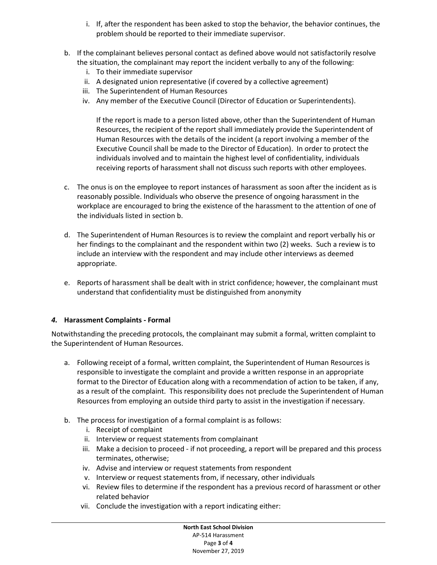- i. If, after the respondent has been asked to stop the behavior, the behavior continues, the problem should be reported to their immediate supervisor.
- b. If the complainant believes personal contact as defined above would not satisfactorily resolve the situation, the complainant may report the incident verbally to any of the following:
	- i. To their immediate supervisor
	- ii. A designated union representative (if covered by a collective agreement)
	- iii. The Superintendent of Human Resources
	- iv. Any member of the Executive Council (Director of Education or Superintendents).

If the report is made to a person listed above, other than the Superintendent of Human Resources, the recipient of the report shall immediately provide the Superintendent of Human Resources with the details of the incident (a report involving a member of the Executive Council shall be made to the Director of Education). In order to protect the individuals involved and to maintain the highest level of confidentiality, individuals receiving reports of harassment shall not discuss such reports with other employees.

- c. The onus is on the employee to report instances of harassment as soon after the incident as is reasonably possible. Individuals who observe the presence of ongoing harassment in the workplace are encouraged to bring the existence of the harassment to the attention of one of the individuals listed in section b.
- d. The Superintendent of Human Resources is to review the complaint and report verbally his or her findings to the complainant and the respondent within two (2) weeks. Such a review is to include an interview with the respondent and may include other interviews as deemed appropriate.
- e. Reports of harassment shall be dealt with in strict confidence; however, the complainant must understand that confidentiality must be distinguished from anonymity

# *4.* **Harassment Complaints - Formal**

Notwithstanding the preceding protocols, the complainant may submit a formal, written complaint to the Superintendent of Human Resources.

- a. Following receipt of a formal, written complaint, the Superintendent of Human Resources is responsible to investigate the complaint and provide a written response in an appropriate format to the Director of Education along with a recommendation of action to be taken, if any, as a result of the complaint. This responsibility does not preclude the Superintendent of Human Resources from employing an outside third party to assist in the investigation if necessary.
- b. The process for investigation of a formal complaint is as follows:
	- i. Receipt of complaint
	- ii. Interview or request statements from complainant
	- iii. Make a decision to proceed if not proceeding, a report will be prepared and this process terminates, otherwise;
	- iv. Advise and interview or request statements from respondent
	- v. Interview or request statements from, if necessary, other individuals
	- vi. Review files to determine if the respondent has a previous record of harassment or other related behavior
	- vii. Conclude the investigation with a report indicating either: